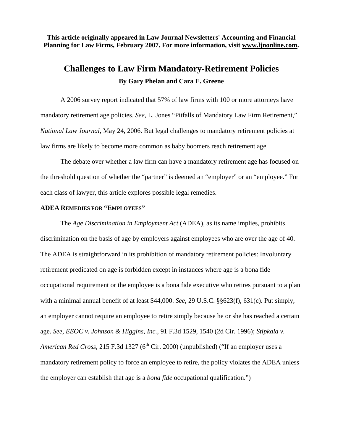**This article originally appeared in Law Journal Newsletters' Accounting and Financial Planning for Law Firms, February 2007. For more information, visit www.ljnonline.com.** 

# **Challenges to Law Firm Mandatory-Retirement Policies By Gary Phelan and Cara E. Greene**

A 2006 survey report indicated that 57% of law firms with 100 or more attorneys have mandatory retirement age policies. *See*, L. Jones "Pitfalls of Mandatory Law Firm Retirement," *National Law Journal*, May 24, 2006. But legal challenges to mandatory retirement policies at law firms are likely to become more common as baby boomers reach retirement age.

The debate over whether a law firm can have a mandatory retirement age has focused on the threshold question of whether the "partner" is deemed an "employer" or an "employee." For each class of lawyer, this article explores possible legal remedies.

# **ADEA REMEDIES FOR "EMPLOYEES"**

The *Age Discrimination in Employment Act* (ADEA), as its name implies, prohibits discrimination on the basis of age by employers against employees who are over the age of 40. The ADEA is straightforward in its prohibition of mandatory retirement policies: Involuntary retirement predicated on age is forbidden except in instances where age is a bona fide occupational requirement or the employee is a bona fide executive who retires pursuant to a plan with a minimal annual benefit of at least \$44,000. *See*, 29 U.S.C. §§623(f), 631(c). Put simply, an employer cannot require an employee to retire simply because he or she has reached a certain age. *See*, *EEOC v. Johnson & Higgins, Inc.*, 91 F.3d 1529, 1540 (2d Cir. 1996); *Stipkala v. American Red Cross,* 215 F.3d 1327 ( $6<sup>th</sup>$  Cir. 2000) (unpublished) ("If an employer uses a mandatory retirement policy to force an employee to retire, the policy violates the ADEA unless the employer can establish that age is a *bona fide* occupational qualification.")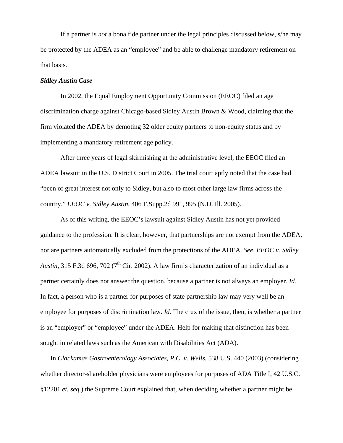If a partner is *not* a bona fide partner under the legal principles discussed below, s/he may be protected by the ADEA as an "employee" and be able to challenge mandatory retirement on that basis.

## *Sidley Austin Case*

In 2002, the Equal Employment Opportunity Commission (EEOC) filed an age discrimination charge against Chicago-based Sidley Austin Brown & Wood, claiming that the firm violated the ADEA by demoting 32 older equity partners to non-equity status and by implementing a mandatory retirement age policy.

After three years of legal skirmishing at the administrative level, the EEOC filed an ADEA lawsuit in the U.S. District Court in 2005. The trial court aptly noted that the case had "been of great interest not only to Sidley, but also to most other large law firms across the country." *EEOC v. Sidley Austin*, 406 F.Supp.2d 991, 995 (N.D. Ill. 2005).

As of this writing, the EEOC's lawsuit against Sidley Austin has not yet provided guidance to the profession. It is clear, however, that partnerships are not exempt from the ADEA, nor are partners automatically excluded from the protections of the ADEA. *See*, *EEOC v. Sidley Austin*, 315 F.3d 696, 702 ( $7<sup>th</sup>$  Cir. 2002). A law firm's characterization of an individual as a partner certainly does not answer the question, because a partner is not always an employer. *Id.* In fact, a person who is a partner for purposes of state partnership law may very well be an employee for purposes of discrimination law. *Id.* The crux of the issue, then, is whether a partner is an "employer" or "employee" under the ADEA. Help for making that distinction has been sought in related laws such as the American with Disabilities Act (ADA).

In *Clackamas Gastroenterology Associates, P.C. v. Wells*, 538 U.S. 440 (2003) (considering whether director-shareholder physicians were employees for purposes of ADA Title I, 42 U.S.C. §12201 *et. seq*.) the Supreme Court explained that, when deciding whether a partner might be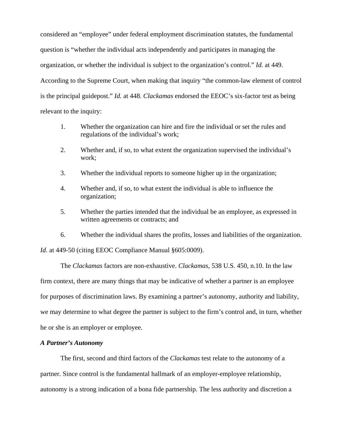considered an "employee" under federal employment discrimination statutes, the fundamental question is "whether the individual acts independently and participates in managing the organization, or whether the individual is subject to the organization's control." *Id.* at 449. According to the Supreme Court, when making that inquiry "the common-law element of control is the principal guidepost." *Id.* at 448. *Clackamas* endorsed the EEOC's six-factor test as being relevant to the inquiry:

- 1. Whether the organization can hire and fire the individual or set the rules and regulations of the individual's work;
- 2. Whether and, if so, to what extent the organization supervised the individual's work;
- 3. Whether the individual reports to someone higher up in the organization;
- 4. Whether and, if so, to what extent the individual is able to influence the organization;
- 5. Whether the parties intended that the individual be an employee, as expressed in written agreements or contracts; and
- 6. Whether the individual shares the profits, losses and liabilities of the organization.

*Id.* at 449-50 (citing EEOC Compliance Manual §605:0009).

The *Clackamas* factors are non-exhaustive. *Clackamas*, 538 U.S. 450, n.10. In the law firm context, there are many things that may be indicative of whether a partner is an employee for purposes of discrimination laws. By examining a partner's autonomy, authority and liability, we may determine to what degree the partner is subject to the firm's control and, in turn, whether he or she is an employer or employee.

## *A Partner's Autonomy*

The first, second and third factors of the *Clackamas* test relate to the autonomy of a partner. Since control is the fundamental hallmark of an employer-employee relationship, autonomy is a strong indication of a bona fide partnership. The less authority and discretion a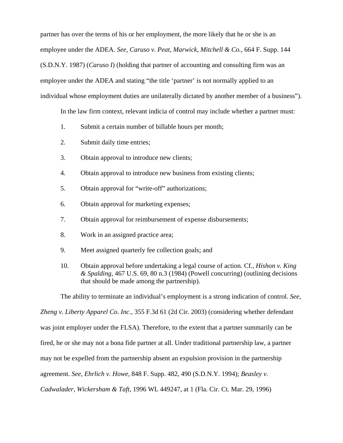partner has over the terms of his or her employment, the more likely that he or she is an employee under the ADEA. *See*, *Caruso v. Peat, Marwick, Mitchell & Co.*, 664 F. Supp. 144 (S.D.N.Y. 1987) (*Caruso I*) (holding that partner of accounting and consulting firm was an employee under the ADEA and stating "the title 'partner' is not normally applied to an individual whose employment duties are unilaterally dictated by another member of a business").

In the law firm context, relevant indicia of control may include whether a partner must:

- 1. Submit a certain number of billable hours per month;
- 2. Submit daily time entries;
- 3. Obtain approval to introduce new clients;
- 4. Obtain approval to introduce new business from existing clients;
- 5. Obtain approval for "write-off" authorizations;
- 6. Obtain approval for marketing expenses;
- 7. Obtain approval for reimbursement of expense disbursements;
- 8. Work in an assigned practice area;
- 9. Meet assigned quarterly fee collection goals; and
- 10. Obtain approval before undertaking a legal course of action. Cf., *Hishon v. King & Spalding*, 467 U.S. 69, 80 n.3 (1984) (Powell concurring) (outlining decisions that should be made among the partnership).

The ability to terminate an individual's employment is a strong indication of control. *See*,

*Zheng v. Liberty Apparel Co. Inc.*, 355 F.3d 61 (2d Cir. 2003) (considering whether defendant was joint employer under the FLSA). Therefore, to the extent that a partner summarily can be fired, he or she may not a bona fide partner at all. Under traditional partnership law, a partner may not be expelled from the partnership absent an expulsion provision in the partnership agreement. *See*, *Ehrlich v. Howe*, 848 F. Supp. 482, 490 (S.D.N.Y. 1994); *Beasley v. Cadwalader, Wickersham & Taft*, 1996 WL 449247, at 1 (Fla. Cir. Ct. Mar. 29, 1996)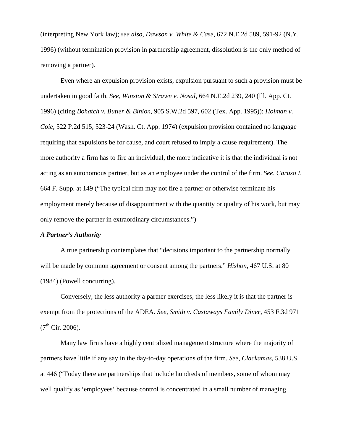(interpreting New York law); *see also*, *Dawson v. White & Case*, 672 N.E.2d 589, 591-92 (N.Y. 1996) (without termination provision in partnership agreement, dissolution is the only method of removing a partner).

Even where an expulsion provision exists, expulsion pursuant to such a provision must be undertaken in good faith. *See*, *Winston & Strawn v. Nosal*, 664 N.E.2d 239, 240 (Ill. App. Ct. 1996) (citing *Bohatch v. Butler & Binion*, 905 S.W.2d 597, 602 (Tex. App. 1995)); *Holman v. Coie*, 522 P.2d 515, 523-24 (Wash. Ct. App. 1974) (expulsion provision contained no language requiring that expulsions be for cause, and court refused to imply a cause requirement). The more authority a firm has to fire an individual, the more indicative it is that the individual is not acting as an autonomous partner, but as an employee under the control of the firm. *See*, *Caruso I*, 664 F. Supp. at 149 ("The typical firm may not fire a partner or otherwise terminate his employment merely because of disappointment with the quantity or quality of his work, but may only remove the partner in extraordinary circumstances.")

#### *A Partner's Authority*

A true partnership contemplates that "decisions important to the partnership normally will be made by common agreement or consent among the partners." *Hishon*, 467 U.S. at 80 (1984) (Powell concurring).

Conversely, the less authority a partner exercises, the less likely it is that the partner is exempt from the protections of the ADEA. *See*, *Smith v. Castaways Family Diner,* 453 F.3d 971  $(7^{th}$  Cir. 2006).

Many law firms have a highly centralized management structure where the majority of partners have little if any say in the day-to-day operations of the firm. *See*, *Clackamas*, 538 U.S. at 446 ("Today there are partnerships that include hundreds of members, some of whom may well qualify as 'employees' because control is concentrated in a small number of managing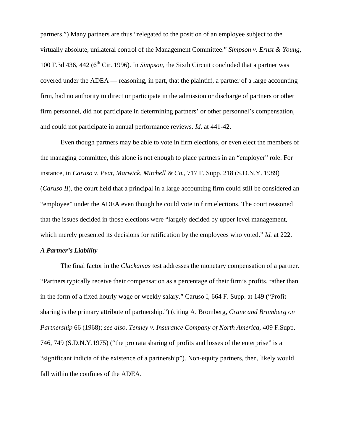partners.") Many partners are thus "relegated to the position of an employee subject to the virtually absolute, unilateral control of the Management Committee." *Simpson v. Ernst & Young*, 100 F.3d 436, 442 (6<sup>th</sup> Cir. 1996). In *Simpson*, the Sixth Circuit concluded that a partner was covered under the ADEA — reasoning, in part, that the plaintiff, a partner of a large accounting firm, had no authority to direct or participate in the admission or discharge of partners or other firm personnel, did not participate in determining partners' or other personnel's compensation, and could not participate in annual performance reviews. *Id.* at 441-42.

Even though partners may be able to vote in firm elections, or even elect the members of the managing committee, this alone is not enough to place partners in an "employer" role. For instance, in *Caruso v. Peat, Marwick, Mitchell & Co.*, 717 F. Supp. 218 (S.D.N.Y. 1989) (*Caruso II*), the court held that a principal in a large accounting firm could still be considered an "employee" under the ADEA even though he could vote in firm elections. The court reasoned that the issues decided in those elections were "largely decided by upper level management, which merely presented its decisions for ratification by the employees who voted." *Id.* at 222.

# *A Partner's Liability*

The final factor in the *Clackamas* test addresses the monetary compensation of a partner. "Partners typically receive their compensation as a percentage of their firm's profits, rather than in the form of a fixed hourly wage or weekly salary." Caruso I, 664 F. Supp. at 149 ("Profit sharing is the primary attribute of partnership.") (citing A. Bromberg, *Crane and Bromberg on Partnership* 66 (1968); *see also*, *Tenney v. Insurance Company of North America,* 409 F.Supp. 746, 749 (S.D.N.Y.1975) ("the pro rata sharing of profits and losses of the enterprise" is a "significant indicia of the existence of a partnership"). Non-equity partners, then, likely would fall within the confines of the ADEA.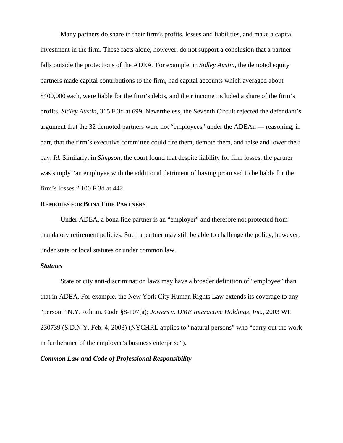Many partners do share in their firm's profits, losses and liabilities, and make a capital investment in the firm. These facts alone, however, do not support a conclusion that a partner falls outside the protections of the ADEA. For example, in *Sidley Austin*, the demoted equity partners made capital contributions to the firm, had capital accounts which averaged about \$400,000 each, were liable for the firm's debts, and their income included a share of the firm's profits. *Sidley Austin*, 315 F.3d at 699. Nevertheless, the Seventh Circuit rejected the defendant's argument that the 32 demoted partners were not "employees" under the ADEAn — reasoning, in part, that the firm's executive committee could fire them, demote them, and raise and lower their pay. *Id.* Similarly, in *Simpson*, the court found that despite liability for firm losses, the partner was simply "an employee with the additional detriment of having promised to be liable for the firm's losses." 100 F.3d at 442.

#### **REMEDIES FOR BONA FIDE PARTNERS**

Under ADEA, a bona fide partner is an "employer" and therefore not protected from mandatory retirement policies. Such a partner may still be able to challenge the policy, however, under state or local statutes or under common law.

## *Statutes*

State or city anti-discrimination laws may have a broader definition of "employee" than that in ADEA. For example, the New York City Human Rights Law extends its coverage to any "person." N.Y. Admin. Code §8-107(a); *Jowers v. DME Interactive Holdings, Inc.*, 2003 WL 230739 (S.D.N.Y. Feb. 4, 2003) (NYCHRL applies to "natural persons" who "carry out the work in furtherance of the employer's business enterprise").

*Common Law and Code of Professional Responsibility*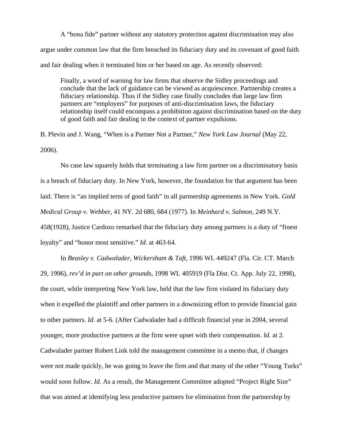A "bona fide" partner without any statutory protection against discrimination may also argue under common law that the firm breached its fiduciary duty and its covenant of good faith and fair dealing when it terminated him or her based on age. As recently observed:

Finally, a word of warning for law firms that observe the Sidley proceedings and conclude that the lack of guidance can be viewed as acquiescence. Partnership creates a fiduciary relationship. Thus if the Sidley case finally concludes that large law firm partners are "employers" for purposes of anti-discrimination laws, the fiduciary relationship itself could encompass a prohibition against discrimination based on the duty of good faith and fair dealing in the context of partner expulsions.

B. Plevin and J. Wang, "When is a Partner Not a Partner," *New York Law Journal* (May 22, 2006).

No case law squarely holds that terminating a law firm partner on a discriminatory basis is a breach of fiduciary duty. In New York, however, the foundation for that argument has been laid. There is "an implied term of good faith" in all partnership agreements in New York. *Gold Medical Group v. Webber*, 41 NY. 2d 680, 684 (1977). In *Meinhard v. Salmon*, 249 N.Y. 458(1928), Justice Cardozo remarked that the fiduciary duty among partners is a duty of "finest loyalty" and "honor most sensitive." *Id.* at 463-64.

In *Beasley v. Cadwalader, Wickersham & Taft*, 1996 WL 449247 (Fla. Cir. CT. March 29, 1996), *rev'd in part on other grounds*, 1998 WL 405919 (Fla Dist. Ct. App. July 22, 1998), the court, while interpreting New York law, held that the law firm violated its fiduciary duty when it expelled the plaintiff and other partners in a downsizing effort to provide financial gain to other partners. *Id.* at 5-6. (After Cadwalader had a difficult financial year in 2004, several younger, more productive partners at the firm were upset with their compensation. *Id.* at 2. Cadwalader partner Robert Link told the management committee in a memo that, if changes were not made quickly, he was going to leave the firm and that many of the other "Young Turks" would soon follow. *Id.* As a result, the Management Committee adopted "Project Right Size" that was aimed at identifying less productive partners for elimination from the partnership by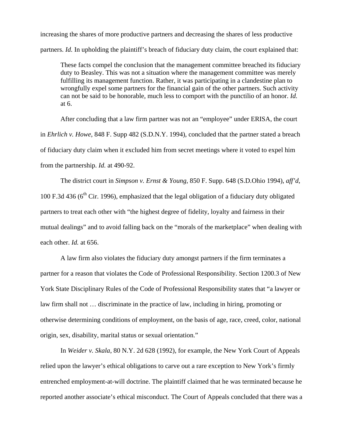increasing the shares of more productive partners and decreasing the shares of less productive partners. *Id.* In upholding the plaintiff's breach of fiduciary duty claim, the court explained that:

These facts compel the conclusion that the management committee breached its fiduciary duty to Beasley. This was not a situation where the management committee was merely fulfilling its management function. Rather, it was participating in a clandestine plan to wrongfully expel some partners for the financial gain of the other partners. Such activity can not be said to be honorable, much less to comport with the punctilio of an honor. *Id.* at 6.

After concluding that a law firm partner was not an "employee" under ERISA, the court in *Ehrlich v. Howe*, 848 F. Supp 482 (S.D.N.Y. 1994), concluded that the partner stated a breach of fiduciary duty claim when it excluded him from secret meetings where it voted to expel him from the partnership. *Id.* at 490-92.

The district court in *Simpson v. Ernst & Young*, 850 F. Supp. 648 (S.D.Ohio 1994), *aff'd*, 100 F.3d 436 ( $6<sup>th</sup>$  Cir. 1996), emphasized that the legal obligation of a fiduciary duty obligated partners to treat each other with "the highest degree of fidelity, loyalty and fairness in their mutual dealings" and to avoid falling back on the "morals of the marketplace" when dealing with each other. *Id.* at 656.

A law firm also violates the fiduciary duty amongst partners if the firm terminates a partner for a reason that violates the Code of Professional Responsibility. Section 1200.3 of New York State Disciplinary Rules of the Code of Professional Responsibility states that "a lawyer or law firm shall not … discriminate in the practice of law, including in hiring, promoting or otherwise determining conditions of employment, on the basis of age, race, creed, color, national origin, sex, disability, marital status or sexual orientation."

In *Weider v. Skala*, 80 N.Y. 2d 628 (1992), for example, the New York Court of Appeals relied upon the lawyer's ethical obligations to carve out a rare exception to New York's firmly entrenched employment-at-will doctrine. The plaintiff claimed that he was terminated because he reported another associate's ethical misconduct. The Court of Appeals concluded that there was a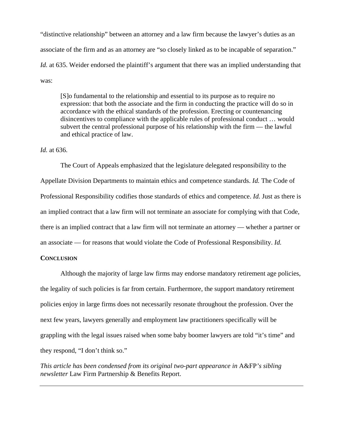"distinctive relationship" between an attorney and a law firm because the lawyer's duties as an associate of the firm and as an attorney are "so closely linked as to be incapable of separation." *Id.* at 635. Weider endorsed the plaintiff's argument that there was an implied understanding that was:

[S]o fundamental to the relationship and essential to its purpose as to require no expression: that both the associate and the firm in conducting the practice will do so in accordance with the ethical standards of the profession. Erecting or countenancing disincentives to compliance with the applicable rules of professional conduct … would subvert the central professional purpose of his relationship with the firm — the lawful and ethical practice of law.

## *Id.* at 636.

The Court of Appeals emphasized that the legislature delegated responsibility to the Appellate Division Departments to maintain ethics and competence standards. *Id.* The Code of Professional Responsibility codifies those standards of ethics and competence. *Id.* Just as there is an implied contract that a law firm will not terminate an associate for complying with that Code, there is an implied contract that a law firm will not terminate an attorney — whether a partner or an associate — for reasons that would violate the Code of Professional Responsibility. *Id.*

# **CONCLUSION**

Although the majority of large law firms may endorse mandatory retirement age policies, the legality of such policies is far from certain. Furthermore, the support mandatory retirement policies enjoy in large firms does not necessarily resonate throughout the profession. Over the next few years, lawyers generally and employment law practitioners specifically will be grappling with the legal issues raised when some baby boomer lawyers are told "it's time" and they respond, "I don't think so."

*This article has been condensed from its original two-part appearance in A&FP's sibling newsletter* Law Firm Partnership & Benefits Report.